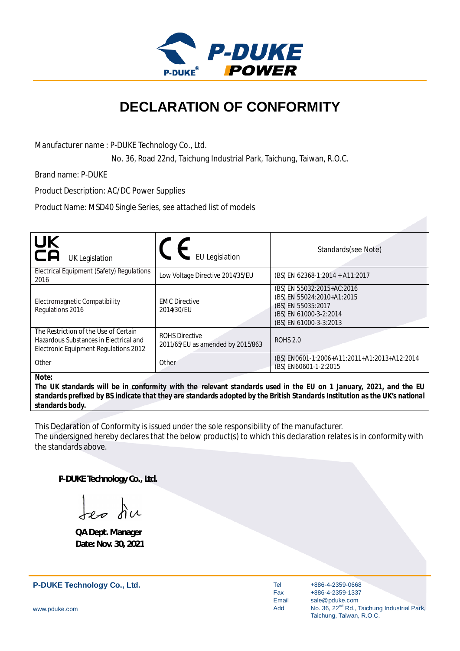

# **DECLARATION OF CONFORMITY**

Manufacturer name : P-DUKE Technology Co., Ltd.

No. 36, Road 22nd, Taichung Industrial Park, Taichung, Taiwan, R.O.C.

Brand name: P-DUKE

Product Description: AC/DC Power Supplies

Product Name: MSD40 Single Series, see attached list of models

| <b>UK</b><br>ČÂ<br><b>UK Legislation</b>                                                                                 | <b>EU Legislation</b>                                      | Standards(see Note)                                                                                                                |
|--------------------------------------------------------------------------------------------------------------------------|------------------------------------------------------------|------------------------------------------------------------------------------------------------------------------------------------|
| Electrical Equipment (Safety) Regulations<br>2016                                                                        | Low Voltage Directive 2014/35/EU                           | (BS) EN 62368-1:2014 + A11:2017                                                                                                    |
| Electromagnetic Compatibility<br>Regulations 2016                                                                        | <b>EMC Directive</b><br>2014/30/EU                         | (BS) EN 55032:2015+AC:2016<br>(BS) EN 55024:2010+A1:2015<br>(BS) EN 55035:2017<br>(BS) EN 61000-3-2:2014<br>(BS) EN 61000-3-3:2013 |
| The Restriction of the Use of Certain<br>Hazardous Substances in Electrical and<br>Electronic Equipment Regulations 2012 | <b>ROHS Directive</b><br>2011/65/EU as amended by 2015/863 | <b>ROHS 2.0</b>                                                                                                                    |
| Other                                                                                                                    | Other                                                      | (BS) EN0601-1:2006+A11:2011+A1:2013+A12:2014<br>(BS) EN60601-1-2:2015                                                              |
| Note:                                                                                                                    |                                                            |                                                                                                                                    |

*The UK standards will be in conformity with the relevant standards used in the EU on 1 January, 2021, and the EU standards prefixed by BS indicate that they are standards adopted by the British Standards Institution as the UK's national standards body.*

This Declaration of Conformity is issued under the sole responsibility of the manufacturer. The undersigned hereby declares that the below product(s) to which this declaration relates is in conformity with the standards above.

**P-DUKE Technology Co., Ltd.**

Les du

**QA Dept. Manager Date: Nov. 30, 2021**

### **P-DUKE Technology Co., Ltd.**

Tel Fax Email Add

+886-4-2359-0668 +886-4-2359-1337 sale@pduke.com No. 36, 22<sup>nd</sup> Rd., Taichung Industrial Park, Taichung, Taiwan, R.O.C.